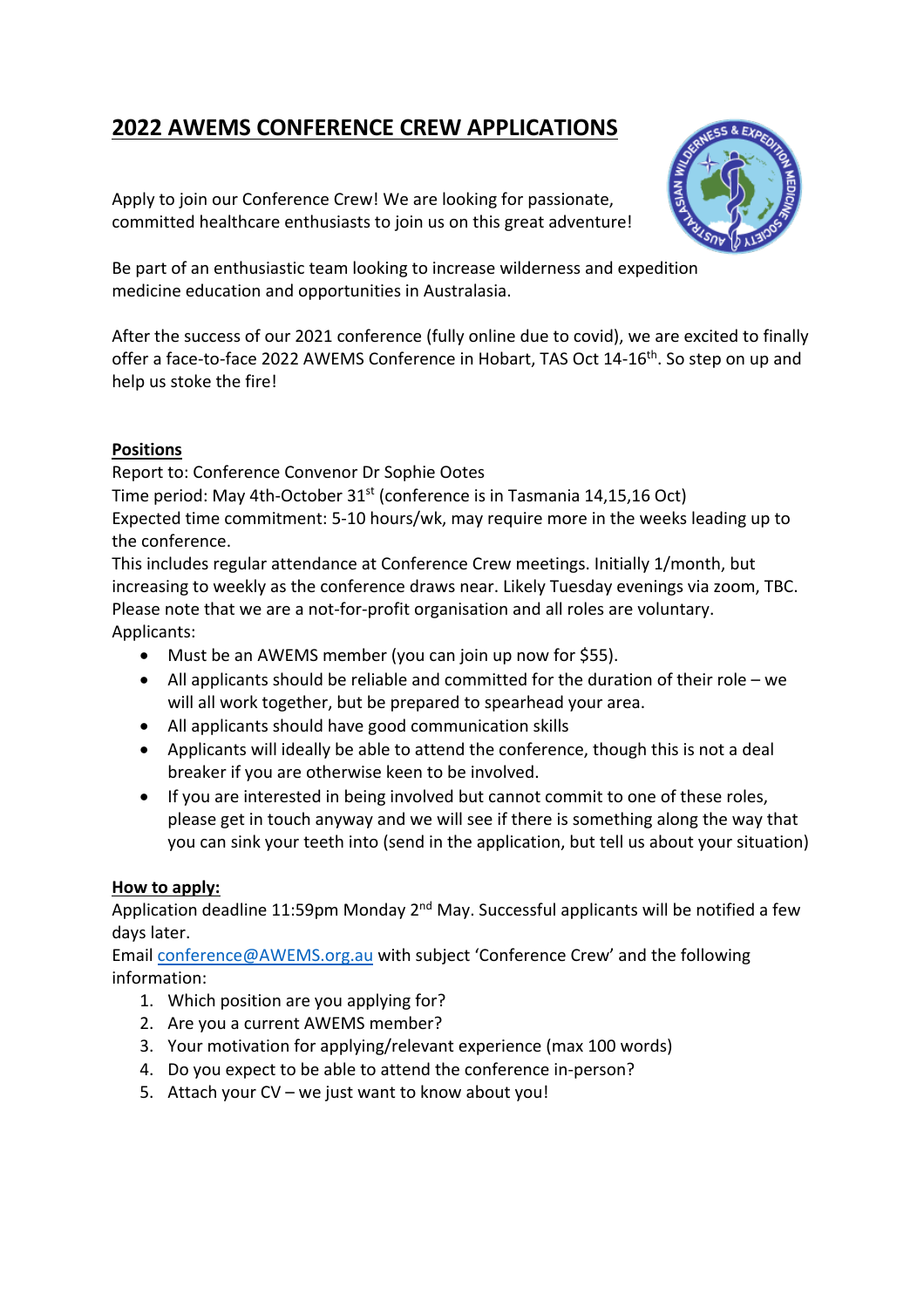# **2022 AWEMS CONFERENCE CREW APPLICATIONS**

Apply to join our Conference Crew! We are looking for passionate, committed healthcare enthusiasts to join us on this great adventure!



Be part of an enthusiastic team looking to increase wilderness and expedition medicine education and opportunities in Australasia.

After the success of our 2021 conference (fully online due to covid), we are excited to finally offer a face-to-face 2022 AWEMS Conference in Hobart, TAS Oct 14-16<sup>th</sup>. So step on up and help us stoke the fire!

## **Positions**

Report to: Conference Convenor Dr Sophie Ootes

Time period: May 4th-October 31<sup>st</sup> (conference is in Tasmania 14,15,16 Oct) Expected time commitment: 5-10 hours/wk, may require more in the weeks leading up to the conference.

This includes regular attendance at Conference Crew meetings. Initially 1/month, but increasing to weekly as the conference draws near. Likely Tuesday evenings via zoom, TBC. Please note that we are a not-for-profit organisation and all roles are voluntary. Applicants:

- Must be an AWEMS member (you can join up now for \$55).
- All applicants should be reliable and committed for the duration of their role we will all work together, but be prepared to spearhead your area.
- All applicants should have good communication skills
- Applicants will ideally be able to attend the conference, though this is not a deal breaker if you are otherwise keen to be involved.
- If you are interested in being involved but cannot commit to one of these roles, please get in touch anyway and we will see if there is something along the way that you can sink your teeth into (send in the application, but tell us about your situation)

# **How to apply:**

Application deadline 11:59pm Monday 2<sup>nd</sup> May. Successful applicants will be notified a few days later.

Email conference@AWEMS.org.au with subject 'Conference Crew' and the following information:

- 1. Which position are you applying for?
- 2. Are you a current AWEMS member?
- 3. Your motivation for applying/relevant experience (max 100 words)
- 4. Do you expect to be able to attend the conference in-person?
- 5. Attach your CV we just want to know about you!